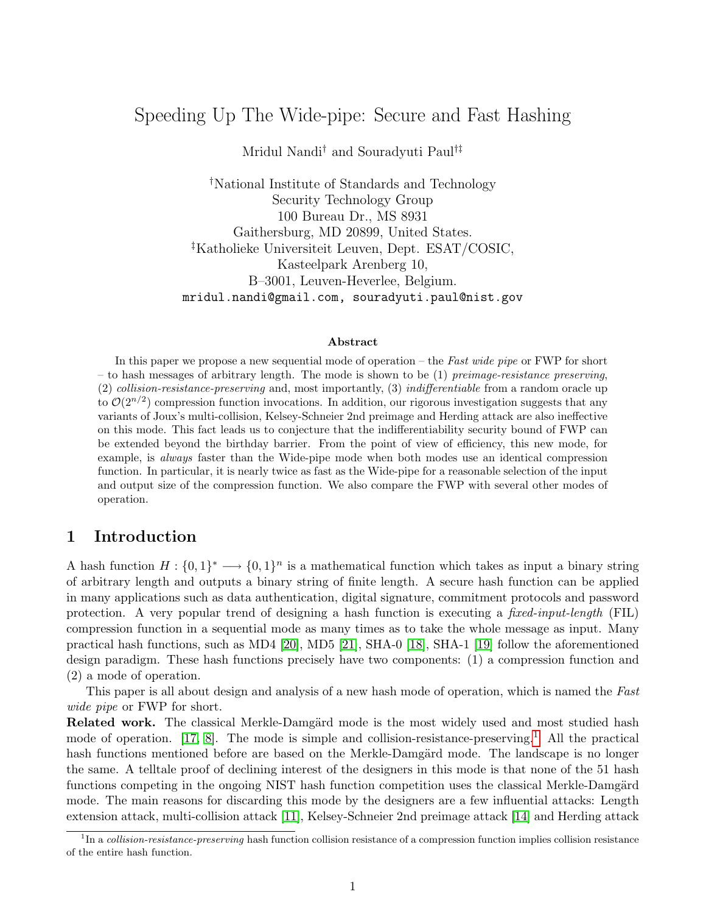# <span id="page-0-1"></span>Speeding Up The Wide-pipe: Secure and Fast Hashing

Mridul Nandi† and Souradyuti Paul†‡

†National Institute of Standards and Technology Security Technology Group 100 Bureau Dr., MS 8931 Gaithersburg, MD 20899, United States. ‡Katholieke Universiteit Leuven, Dept. ESAT/COSIC, Kasteelpark Arenberg 10, B–3001, Leuven-Heverlee, Belgium. mridul.nandi@gmail.com, souradyuti.paul@nist.gov

#### Abstract

In this paper we propose a new sequential mode of operation – the Fast wide pipe or FWP for short – to hash messages of arbitrary length. The mode is shown to be  $(1)$  preimage-resistance preserving, (2) collision-resistance-preserving and, most importantly, (3) indifferentiable from a random oracle up to  $\mathcal{O}(2^{n/2})$  compression function invocations. In addition, our rigorous investigation suggests that any variants of Joux's multi-collision, Kelsey-Schneier 2nd preimage and Herding attack are also ineffective on this mode. This fact leads us to conjecture that the indifferentiability security bound of FWP can be extended beyond the birthday barrier. From the point of view of efficiency, this new mode, for example, is always faster than the Wide-pipe mode when both modes use an identical compression function. In particular, it is nearly twice as fast as the Wide-pipe for a reasonable selection of the input and output size of the compression function. We also compare the FWP with several other modes of operation.

### 1 Introduction

A hash function  $H: \{0,1\}^* \longrightarrow \{0,1\}^n$  is a mathematical function which takes as input a binary string of arbitrary length and outputs a binary string of finite length. A secure hash function can be applied in many applications such as data authentication, digital signature, commitment protocols and password protection. A very popular trend of designing a hash function is executing a *fixed-input-length* (FIL) compression function in a sequential mode as many times as to take the whole message as input. Many practical hash functions, such as MD4 [\[20\]](#page-14-0), MD5 [\[21\]](#page-14-1), SHA-0 [\[18\]](#page-13-0), SHA-1 [\[19\]](#page-14-2) follow the aforementioned design paradigm. These hash functions precisely have two components: (1) a compression function and (2) a mode of operation.

This paper is all about design and analysis of a new hash mode of operation, which is named the Fast wide pipe or FWP for short.

Related work. The classical Merkle-Damgärd mode is the most widely used and most studied hash mode of operation. [\[17,](#page-13-1) [8\]](#page-13-2). The mode is simple and collision-resistance-preserving.<sup>[1](#page-0-0)</sup> All the practical hash functions mentioned before are based on the Merkle-Damgärd mode. The landscape is no longer the same. A telltale proof of declining interest of the designers in this mode is that none of the 51 hash functions competing in the ongoing NIST hash function competition uses the classical Merkle-Damgärd mode. The main reasons for discarding this mode by the designers are a few influential attacks: Length extension attack, multi-collision attack [\[11\]](#page-13-3), Kelsey-Schneier 2nd preimage attack [\[14\]](#page-13-4) and Herding attack

<span id="page-0-0"></span><sup>&</sup>lt;sup>1</sup>In a *collision-resistance-preserving* hash function collision resistance of a compression function implies collision resistance of the entire hash function.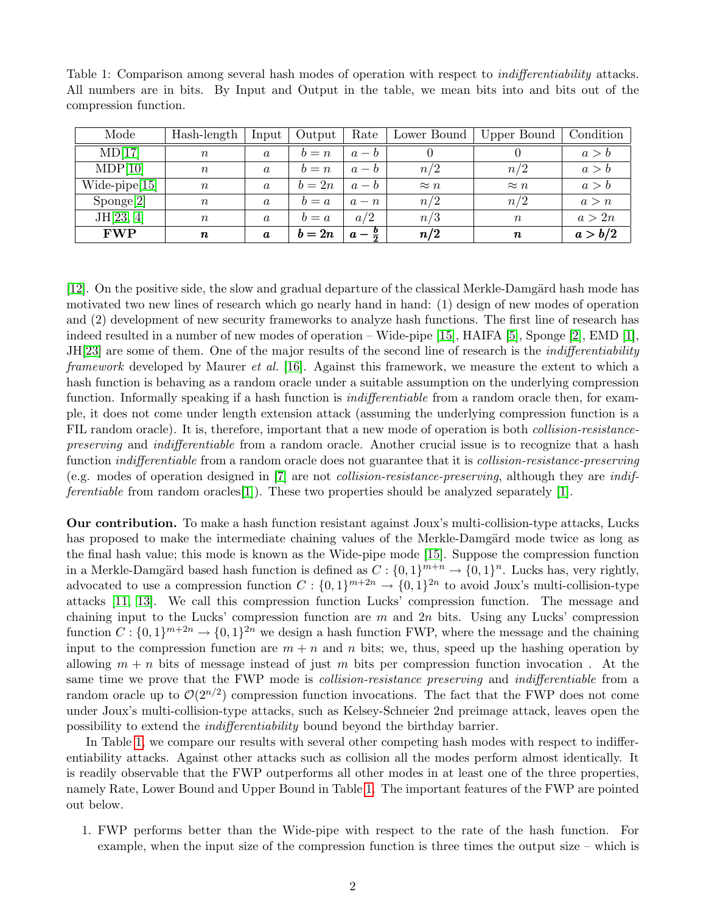| Mode               | Hash-length      | Input            | Output | Rate            | Lower Bound | Upper Bound      | Condition |
|--------------------|------------------|------------------|--------|-----------------|-------------|------------------|-----------|
| MD[17]             | $\boldsymbol{n}$ | $\boldsymbol{a}$ | $b=n$  | $a-b$           |             |                  | a > b     |
| MDP[10]            | $\,n$            | $\boldsymbol{a}$ | $b=n$  | $a-b$           | n/2         | n/2              | a > b     |
| $wide{-pipe[15]}$  | $\, n$           | $\boldsymbol{a}$ | $b=2n$ | $a-b$           | $\approx n$ | $\approx n$      | a > b     |
| $\text{Sponge}[2]$ | $\,n$            | $\boldsymbol{a}$ | $b=a$  | $a-n$           | n/2         | n/2              | a > n     |
| JH[23, 4]          | $\, n$           | $\boldsymbol{a}$ | $b=a$  | a/2             | n/3         | $\boldsymbol{n}$ | a>2n      |
| <b>FWP</b>         | $\pmb{n}$        | $\boldsymbol{a}$ | $b=2n$ | $a-\frac{b}{2}$ | n/2         | $\pmb{n}$        | a > b/2   |

<span id="page-1-1"></span><span id="page-1-0"></span>Table 1: Comparison among several hash modes of operation with respect to *indifferentiability* attacks. All numbers are in bits. By Input and Output in the table, we mean bits into and bits out of the compression function.

 $[12]$ . On the positive side, the slow and gradual departure of the classical Merkle-Damgärd hash mode has motivated two new lines of research which go nearly hand in hand: (1) design of new modes of operation and (2) development of new security frameworks to analyze hash functions. The first line of research has indeed resulted in a number of new modes of operation – Wide-pipe [\[15\]](#page-13-6), HAIFA [\[5\]](#page-13-9), Sponge [\[2\]](#page-12-0), EMD [\[1\]](#page-12-1), JH[\[23\]](#page-14-3) are some of them. One of the major results of the second line of research is the *indifferentiability* framework developed by Maurer *et al.* [\[16\]](#page-13-10). Against this framework, we measure the extent to which a hash function is behaving as a random oracle under a suitable assumption on the underlying compression function. Informally speaking if a hash function is *indifferentiable* from a random oracle then, for example, it does not come under length extension attack (assuming the underlying compression function is a FIL random oracle). It is, therefore, important that a new mode of operation is both *collision-resistance*preserving and indifferentiable from a random oracle. Another crucial issue is to recognize that a hash function *indifferentiable* from a random oracle does not guarantee that it is *collision-resistance-preserving* (e.g. modes of operation designed in [\[7\]](#page-13-11) are not collision-resistance-preserving, although they are indif*ferentiable* from random oracles [\[1\]](#page-12-1). These two properties should be analyzed separately [1].

Our contribution. To make a hash function resistant against Joux's multi-collision-type attacks, Lucks has proposed to make the intermediate chaining values of the Merkle-Damgärd mode twice as long as the final hash value; this mode is known as the Wide-pipe mode [\[15\]](#page-13-6). Suppose the compression function in a Merkle-Damgärd based hash function is defined as  $C: \{0,1\}^{m+n} \to \{0,1\}^n$ . Lucks has, very rightly, advocated to use a compression function  $C: \{0,1\}^{m+2n} \to \{0,1\}^{2n}$  to avoid Joux's multi-collision-type attacks [\[11,](#page-13-3) [13\]](#page-13-12). We call this compression function Lucks' compression function. The message and chaining input to the Lucks' compression function are  $m$  and  $2n$  bits. Using any Lucks' compression function  $C: \{0,1\}^{m+2n} \to \{0,1\}^{2n}$  we design a hash function FWP, where the message and the chaining input to the compression function are  $m + n$  and n bits; we, thus, speed up the hashing operation by allowing  $m + n$  bits of message instead of just m bits per compression function invocation. At the same time we prove that the FWP mode is *collision-resistance preserving* and *indifferentiable* from a random oracle up to  $\mathcal{O}(2^{n/2})$  compression function invocations. The fact that the FWP does not come under Joux's multi-collision-type attacks, such as Kelsey-Schneier 2nd preimage attack, leaves open the possibility to extend the indifferentiability bound beyond the birthday barrier.

In Table [1,](#page-1-0) we compare our results with several other competing hash modes with respect to indifferentiability attacks. Against other attacks such as collision all the modes perform almost identically. It is readily observable that the FWP outperforms all other modes in at least one of the three properties, namely Rate, Lower Bound and Upper Bound in Table [1.](#page-1-0) The important features of the FWP are pointed out below.

1. FWP performs better than the Wide-pipe with respect to the rate of the hash function. For example, when the input size of the compression function is three times the output size – which is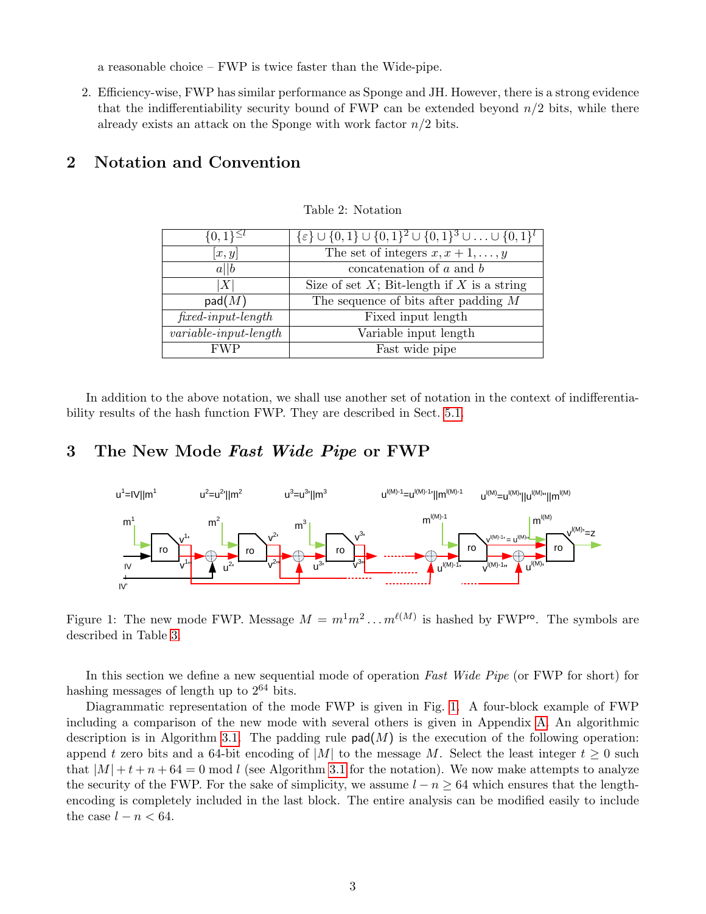a reasonable choice – FWP is twice faster than the Wide-pipe.

2. Efficiency-wise, FWP has similar performance as Sponge and JH. However, there is a strong evidence that the indifferentiability security bound of FWP can be extended beyond  $n/2$  bits, while there already exists an attack on the Sponge with work factor  $n/2$  bits.

### 2 Notation and Convention

| $\{0,\overline{1\}^{\leq l}$ | $\{\varepsilon\} \cup \{0,1\} \cup \{0,1\}^2 \cup \{0,1\}^3 \cup \ldots \cup \{0,1\}^l$ |
|------------------------------|-----------------------------------------------------------------------------------------|
| x, y                         | The set of integers $x, x + 1, \ldots, y$                                               |
| a  b                         | concatenation of $a$ and $b$                                                            |
| X                            | Size of set $X$ ; Bit-length if $X$ is a string                                         |
| $\mathsf{pad}(M)$            | The sequence of bits after padding $M$                                                  |
| $fixed-input-length$         | Fixed input length                                                                      |
| $variable-input-length$      | Variable input length                                                                   |
| <b>FWP</b>                   | Fast wide pipe                                                                          |

<span id="page-2-0"></span>Table 2: Notation

In addition to the above notation, we shall use another set of notation in the context of indifferentiability results of the hash function FWP. They are described in Sect. [5.1.](#page-4-0)

### 3 The New Mode Fast Wide Pipe or FWP



Figure 1: The new mode FWP. Message  $M = m^1 m^2 \dots m^{\ell(M)}$  is hashed by FWP<sup>ro</sup>. The symbols are described in Table [3.](#page-6-0)

In this section we define a new sequential mode of operation Fast Wide Pipe (or FWP for short) for hashing messages of length up to  $2^{64}$  bits.

Diagrammatic representation of the mode FWP is given in Fig. [1.](#page-2-0) A four-block example of FWP including a comparison of the new mode with several others is given in Appendix [A.](#page-14-4) An algorithmic description is in Algorithm [3.1.](#page-3-0) The padding rule  $\mathsf{pad}(M)$  is the execution of the following operation: append t zero bits and a 64-bit encoding of |M| to the message M. Select the least integer  $t \geq 0$  such that  $|M| + t + n + 64 = 0$  mod l (see Algorithm [3.1](#page-3-0) for the notation). We now make attempts to analyze the security of the FWP. For the sake of simplicity, we assume  $l - n \geq 64$  which ensures that the lengthencoding is completely included in the last block. The entire analysis can be modified easily to include the case  $l - n < 64$ .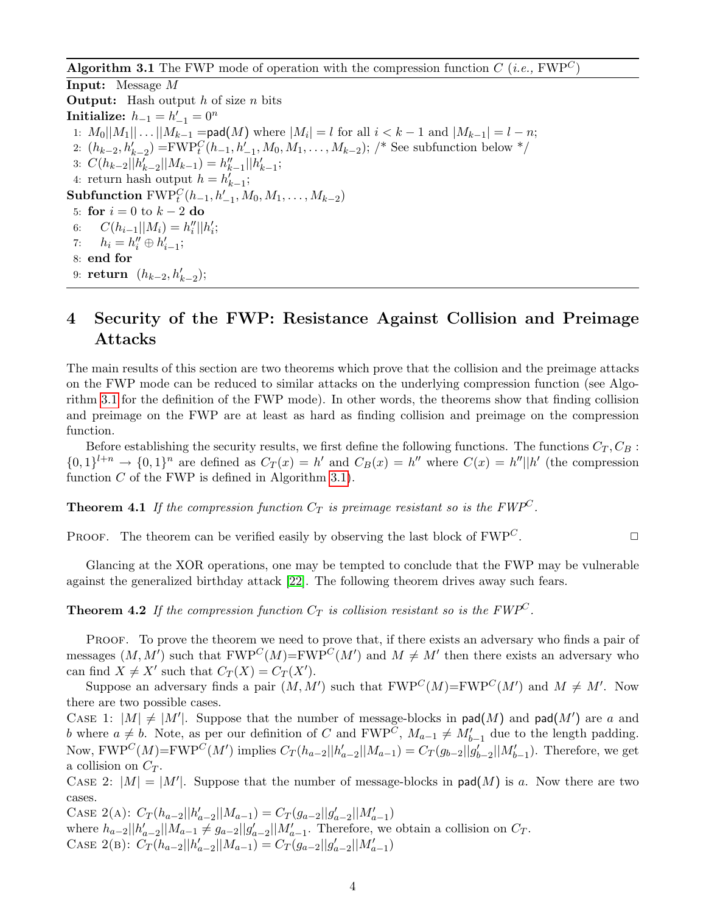<span id="page-3-3"></span>**Algorithm 3.1** The FWP mode of operation with the compression function  $C$  (*i.e.*, FWP<sup>C</sup>)

<span id="page-3-0"></span>Input: Message M **Output:** Hash output  $h$  of size  $n$  bits Initialize:  $h_{-1} = h'_{-1} = 0^n$ 1:  $M_0||M_1|| \dots ||M_{k-1} = \text{pad}(M)$  where  $|M_i| = l$  for all  $i < k - 1$  and  $|M_{k-1}| = l - n$ ; 2:  $(h_{k-2}, h'_{k-2}) = FWP_t^C(h_{-1}, h'_{-1}, M_0, M_1, \ldots, M_{k-2});$  /\* See subfunction below \*/ 3:  $C(h_{k-2}||h'_{k-2}||M_{k-1}) = h''_{k-1}||h'_{k-1};$ 4: return hash output  $h = h'_{k-1}$ ; Subfunction  $\mathrm{FWP}^C_t(h_{-1}, h'_{-1}, M_0, M_1, \ldots, M_{k-2})$ 5: for  $i = 0$  to  $k - 2$  do 6:  $C(h_{i-1}||M_i) = h''_i||h'_i;$ 7:  $h_i = h''_i \oplus h'_{i-1};$ 8: end for 9: **return**  $(h_{k-2}, h'_{k-2});$ 

# <span id="page-3-2"></span>4 Security of the FWP: Resistance Against Collision and Preimage Attacks

The main results of this section are two theorems which prove that the collision and the preimage attacks on the FWP mode can be reduced to similar attacks on the underlying compression function (see Algorithm [3.1](#page-3-0) for the definition of the FWP mode). In other words, the theorems show that finding collision and preimage on the FWP are at least as hard as finding collision and preimage on the compression function.

Before establishing the security results, we first define the following functions. The functions  $C_T, C_B$ :  $\{0,1\}^{l+n} \to \{0,1\}^n$  are defined as  $C_T(x) = h'$  and  $C_B(x) = h''$  where  $C(x) = h''||h'$  (the compression function  $C$  of the FWP is defined in Algorithm [3.1\)](#page-3-0).

**Theorem 4.1** If the compression function  $C_T$  is preimage resistant so is the FWP<sup>C</sup>.

PROOF. The theorem can be verified easily by observing the last block of  $FWP^C$ .

Glancing at the XOR operations, one may be tempted to conclude that the FWP may be vulnerable against the generalized birthday attack [\[22\]](#page-14-5). The following theorem drives away such fears.

<span id="page-3-1"></span>**Theorem 4.2** If the compression function  $C_T$  is collision resistant so is the FWP<sup>C</sup>.

PROOF. To prove the theorem we need to prove that, if there exists an adversary who finds a pair of messages  $(M, M')$  such that  $FWP^C(M) = FWP^C(M')$  and  $M \neq M'$  then there exists an adversary who can find  $X \neq X'$  such that  $C_T(X) = C_T(X')$ .

Suppose an adversary finds a pair  $(M, M')$  such that  $FWP^C(M) = FWP^C(M')$  and  $M \neq M'$ . Now there are two possible cases.

CASE 1:  $|M| \neq |M'|$ . Suppose that the number of message-blocks in pad(M) and pad(M') are a and b where  $a \neq b$ . Note, as per our definition of C and FWP<sup>C</sup>,  $M_{a-1} \neq M'_{b-1}$  due to the length padding. Now,  $FWP^C(M)=FWP^C(M')$  implies  $C_T(h_{a-2}||h'_{a-2}||M_{a-1}) = C_T(g_{b-2}||g'_{b-2}||M'_{b-1})$ . Therefore, we get a collision on  $C_T$ .

CASE 2:  $|M| = |M'|$ . Suppose that the number of message-blocks in pad(M) is a. Now there are two cases.

CASE 2(A):  $C_T(h_{a-2}||h'_{a-2}||M_{a-1}) = C_T(g_{a-2}||g'_{a-2}||M'_{a-1})$ where  $h_{a-2}||h'_{a-2}||M_{a-1} \neq g_{a-2}||g'_{a-2}||M'_{a-1}$ . Therefore, we obtain a collision on  $C_T$ . CASE 2(B):  $C_T(h_{a-2}||h'_{a-2}||M_{a-1}) = C_T(g_{a-2}||g'_{a-2}||M'_{a-1})$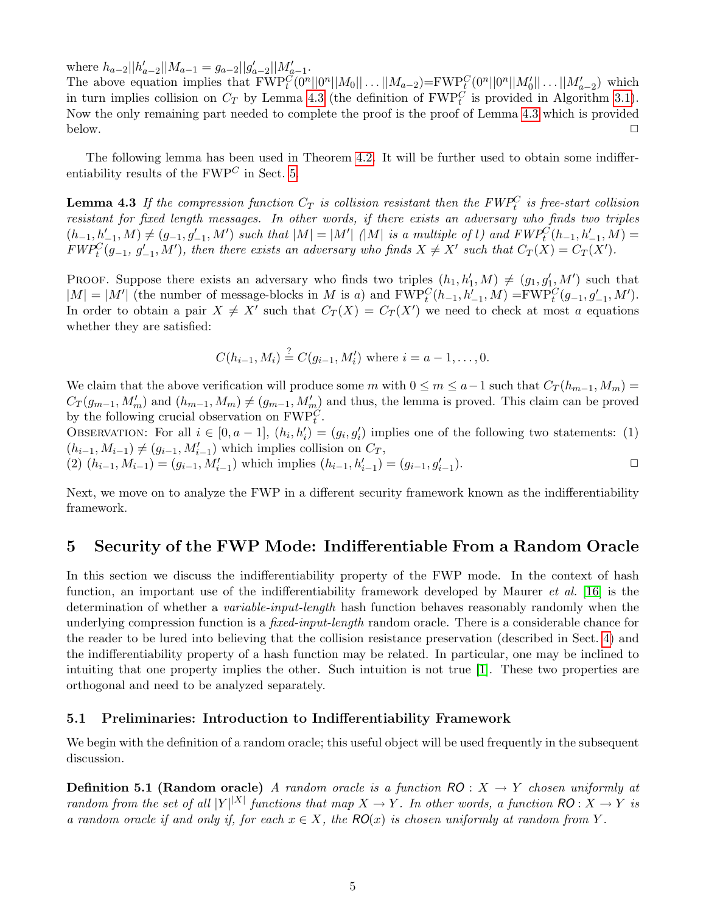<span id="page-4-3"></span>where  $h_{a-2}||h'_{a-2}||M_{a-1} = g_{a-2}||g'_{a-2}||M'_{a-1}$ .

The above equation implies that  $FWP_t^C(0^n||0^n||M_0||...||M_{a-2}) = FWP_t^C(0^n||0^n||M'_0||...||M'_{a-2})$  which in turn implies collision on  $C_T$  by Lemma [4.3](#page-4-1) (the definition of  $FWP_t^C$  is provided in Algorithm [3.1\)](#page-3-0). Now the only remaining part needed to complete the proof is the proof of Lemma [4.3](#page-4-1) which is provided below.  $\Box$ 

The following lemma has been used in Theorem [4.2.](#page-3-1) It will be further used to obtain some indifferentiability results of the  $FWP<sup>C</sup>$  in Sect. [5.](#page-4-2)

<span id="page-4-1"></span>**Lemma 4.3** If the compression function  $C_T$  is collision resistant then the  $FWP_t^C$  is free-start collision resistant for fixed length messages. In other words, if there exists an adversary who finds two triples  $(h_{-1}, h'_{-1}, M) \neq (g_{-1}, g'_{-1}, M')$  such that  $|M| = |M'|$  (|M| is a multiple of l) and  $FWP_t^C(h_{-1}, h'_{-1}, M) =$  $FWP_t^C(g_{-1}, g'_{-1}, M')$ , then there exists an adversary who finds  $X \neq X'$  such that  $C_T(X) = C_T(X')$ .

PROOF. Suppose there exists an adversary who finds two triples  $(h_1, h'_1, M) \neq (g_1, g'_1, M')$  such that  $|M| = |M'|$  (the number of message-blocks in M is a) and  $\text{FWP}_t^C(h_{-1}, h'_{-1}, M) = \text{FWP}_t^C(g_{-1}, g'_{-1}, M')$ . In order to obtain a pair  $X \neq X'$  such that  $C_T(X) = C_T(X')$  we need to check at most a equations whether they are satisfied:

$$
C(h_{i-1}, M_i) \stackrel{?}{=} C(g_{i-1}, M'_i)
$$
 where  $i = a - 1, ..., 0$ .

We claim that the above verification will produce some m with  $0 \le m \le a-1$  such that  $C_T(h_{m-1}, M_m)$  $C_T(g_{m-1}, M'_m)$  and  $(h_{m-1}, M_m) \neq (g_{m-1}, M'_m)$  and thus, the lemma is proved. This claim can be proved by the following crucial observation on  $\mathrm{FWP}_t^C$ .

OBSERVATION: For all  $i \in [0, a-1]$ ,  $(h_i, h'_i) = (g_i, g'_i)$  implies one of the following two statements: (1)  $(h_{i-1}, M_{i-1}) \neq (g_{i-1}, M'_{i-1})$  which implies collision on  $C_T$ ,

(2)  $(h_{i-1}, M_{i-1}) = (g_{i-1}, M'_{i-1})$  which implies  $(h_{i-1}, h'_{i-1}) = (g_{i-1}, g'_{i-1})$ ).  $\qquad \qquad \Box$ 

Next, we move on to analyze the FWP in a different security framework known as the indifferentiability framework.

### <span id="page-4-2"></span>5 Security of the FWP Mode: Indifferentiable From a Random Oracle

In this section we discuss the indifferentiability property of the FWP mode. In the context of hash function, an important use of the indifferentiability framework developed by Maurer *et al.* [\[16\]](#page-13-10) is the determination of whether a *variable-input-length* hash function behaves reasonably randomly when the underlying compression function is a *fixed-input-length* random oracle. There is a considerable chance for the reader to be lured into believing that the collision resistance preservation (described in Sect. [4\)](#page-3-2) and the indifferentiability property of a hash function may be related. In particular, one may be inclined to intuiting that one property implies the other. Such intuition is not true [\[1\]](#page-12-1). These two properties are orthogonal and need to be analyzed separately.

#### <span id="page-4-0"></span>5.1 Preliminaries: Introduction to Indifferentiability Framework

We begin with the definition of a random oracle; this useful object will be used frequently in the subsequent discussion.

**Definition 5.1 (Random oracle)** A random oracle is a function  $RO: X \rightarrow Y$  chosen uniformly at random from the set of all  $|Y|^{|X|}$  functions that map  $X \to Y$ . In other words, a function  $\mathsf{RO}: X \to Y$  is a random oracle if and only if, for each  $x \in X$ , the  $RO(x)$  is chosen uniformly at random from Y.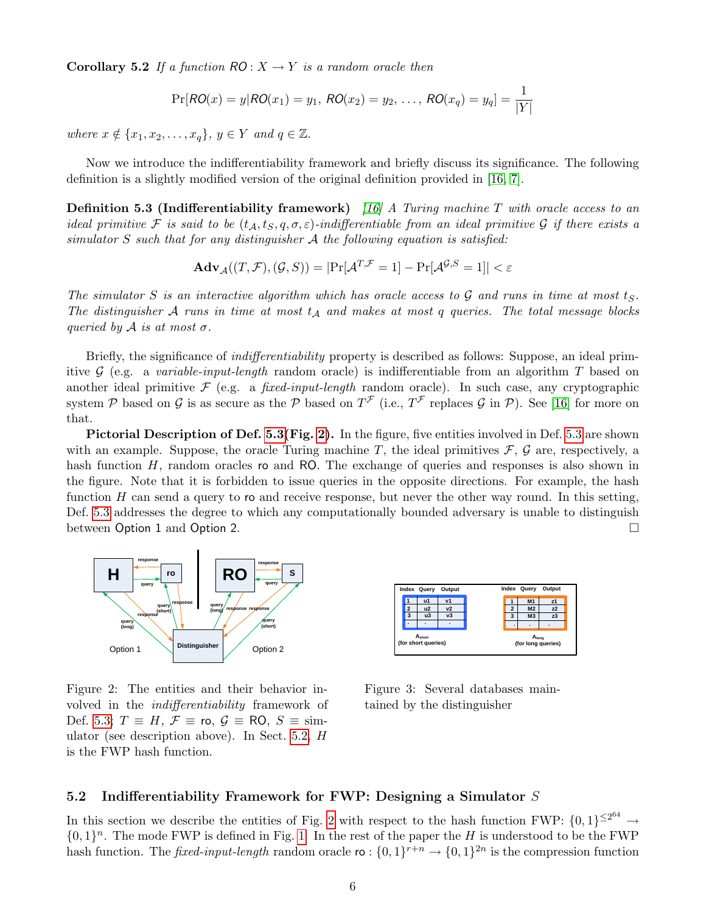<span id="page-5-4"></span>**Corollary 5.2** If a function  $RO: X \rightarrow Y$  is a random oracle then

$$
Pr[RO(x) = y | RO(x_1) = y_1, RO(x_2) = y_2, ..., RO(x_q) = y_q] = \frac{1}{|Y|}
$$

where  $x \notin \{x_1, x_2, \ldots, x_q\}, y \in Y$  and  $q \in \mathbb{Z}$ .

Now we introduce the indifferentiability framework and briefly discuss its significance. The following definition is a slightly modified version of the original definition provided in [\[16,](#page-13-10) [7\]](#page-13-11).

<span id="page-5-0"></span>**Definition 5.3 (Indifferentiability framework)** [\[16\]](#page-13-10) A Turing machine T with oracle access to an ideal primitive F is said to be  $(t_A, t_S, q, \sigma, \varepsilon)$ -indifferentiable from an ideal primitive G if there exists a simulator  $S$  such that for any distinguisher  $A$  the following equation is satisfied:

$$
\mathbf{Adv}_{\mathcal{A}}((T, \mathcal{F}), (\mathcal{G}, S)) = |\Pr[\mathcal{A}^{T, \mathcal{F}} = 1] - \Pr[\mathcal{A}^{\mathcal{G}, S} = 1]| < \varepsilon
$$

The simulator S is an interactive algorithm which has oracle access to  $\mathcal G$  and runs in time at most ts. The distinguisher  $A$  runs in time at most  $t_A$  and makes at most q queries. The total message blocks queried by  $\mathcal A$  is at most  $\sigma$ .

Briefly, the significance of indifferentiability property is described as follows: Suppose, an ideal primitive  $G$  (e.g. a variable-input-length random oracle) is indifferentiable from an algorithm T based on another ideal primitive  $\mathcal F$  (e.g. a *fixed-input-length* random oracle). In such case, any cryptographic system P based on G is as secure as the P based on  $T^{\mathcal{F}}$  (i.e.,  $T^{\mathcal{F}}$  replaces G in P). See [\[16\]](#page-13-10) for more on that.

Pictorial Description of Def. [5.3\(](#page-5-0)Fig. [2\)](#page-5-1). In the figure, five entities involved in Def. [5.3](#page-5-0) are shown with an example. Suppose, the oracle Turing machine T, the ideal primitives  $\mathcal{F}, \mathcal{G}$  are, respectively, a hash function  $H$ , random oracles ro and RO. The exchange of queries and responses is also shown in the figure. Note that it is forbidden to issue queries in the opposite directions. For example, the hash function  $H$  can send a query to ro and receive response, but never the other way round. In this setting, Def. [5.3](#page-5-0) addresses the degree to which any computationally bounded adversary is unable to distinguish between Option 1 and Option 2.



Figure 2: The entities and their behavior involved in the indifferentiability framework of Def. [5.3;](#page-5-0)  $T \equiv H$ ,  $\mathcal{F} \equiv$  ro,  $\mathcal{G} \equiv \text{RO}$ ,  $S \equiv \text{sim}$ ulator (see description above). In Sect. [5.2,](#page-5-2) H is the FWP hash function.

<span id="page-5-3"></span>

<span id="page-5-1"></span>Figure 3: Several databases maintained by the distinguisher

### <span id="page-5-2"></span>5.2 Indifferentiability Framework for FWP: Designing a Simulator S

In this section we describe the entities of Fig. [2](#page-5-1) with respect to the hash function FWP:  $\{0,1\}^{\leq 2^{64}} \rightarrow$  $\{0,1\}^n$ . The mode FWP is defined in Fig. [1.](#page-2-0) In the rest of the paper the H is understood to be the FWP hash function. The *fixed-input-length* random oracle  $\mathfrak{ro}: \{0,1\}^{r+n} \to \{0,1\}^{2n}$  is the compression function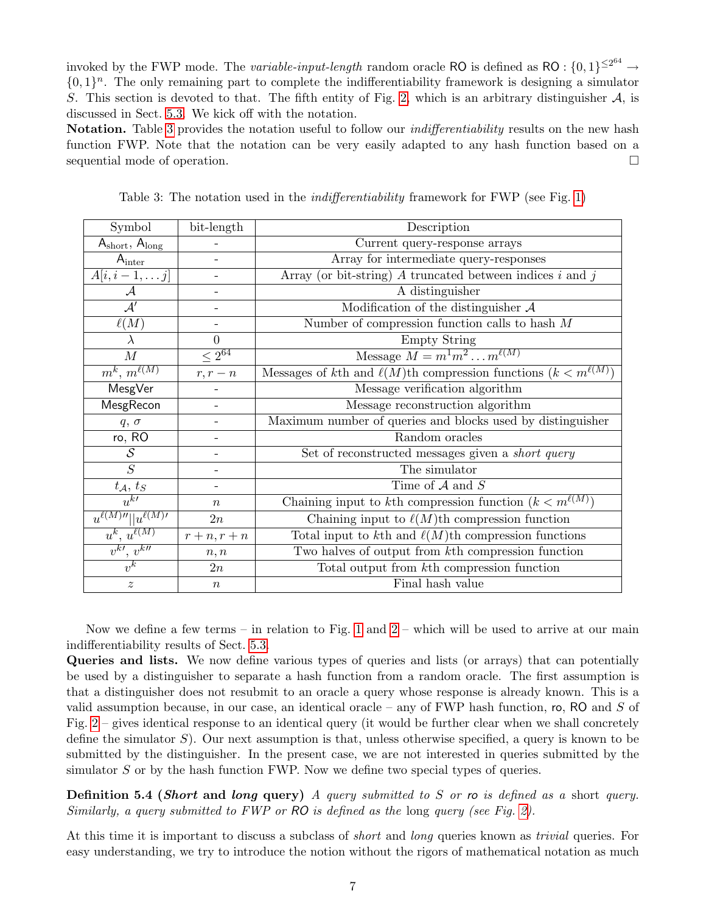invoked by the FWP mode. The *variable-input-length* random oracle RO is defined as RO :  $\{0,1\}^{\leq 2^{64}} \rightarrow$  $\{0,1\}^n$ . The only remaining part to complete the indifferentiability framework is designing a simulator S. This section is devoted to that. The fifth entity of Fig. [2,](#page-5-1) which is an arbitrary distinguisher  $A$ , is discussed in Sect. [5.3.](#page-9-0) We kick off with the notation.

Notation. Table [3](#page-6-0) provides the notation useful to follow our *indifferentiability* results on the new hash function FWP. Note that the notation can be very easily adapted to any hash function based on a sequential mode of operation.

<span id="page-6-0"></span>

| Symbol                                              | bit-length               | Description                                                                |  |  |
|-----------------------------------------------------|--------------------------|----------------------------------------------------------------------------|--|--|
| $A_{short}, A_{long}$                               |                          | Current query-response arrays                                              |  |  |
| $A_{inter}$                                         |                          | Array for intermediate query-responses                                     |  |  |
| $A[i, i-1, \ldots j]$                               |                          | Array (or bit-string) $A$ truncated between indices $i$ and $j$            |  |  |
| $\mathcal{A}$                                       | -                        | A distinguisher                                                            |  |  |
| $\overline{\mathcal{A}'}$                           | $\qquad \qquad -$        | Modification of the distinguisher $A$                                      |  |  |
| $\ell(M)$                                           |                          | Number of compression function calls to hash $M$                           |  |  |
| λ                                                   | $\overline{0}$           | <b>Empty String</b>                                                        |  |  |
| $\boldsymbol{M}$                                    | $\leq 2^{\overline{64}}$ | Message $M = m^1m^2m^{\ell(M)}$                                            |  |  |
| $m^k, m^{\ell(M)}$                                  | $r, r - n$               | Messages of kth and $\ell(M)$ th compression functions $(k < m^{\ell(M)})$ |  |  |
| MesgVer                                             |                          | Message verification algorithm                                             |  |  |
| MesgRecon                                           |                          | Message reconstruction algorithm                                           |  |  |
| $q, \sigma$                                         | $\qquad \qquad -$        | Maximum number of queries and blocks used by distinguisher                 |  |  |
| ro, RO                                              |                          | Random oracles                                                             |  |  |
| $\mathcal{S}_{0}$                                   |                          | Set of reconstructed messages given a <i>short query</i>                   |  |  |
| S                                                   |                          | The simulator                                                              |  |  |
| $t_\mathcal{A},\,t_S$                               |                          | Time of $A$ and $S$                                                        |  |  |
| $u^{k}$                                             | $\boldsymbol{n}$         | Chaining input to kth compression function $(k < m^{\ell(M)})$             |  |  |
| $u^{\ell(M) \prime \prime}$    $u^{\ell(M) \prime}$ | 2n                       | Chaining input to $\ell(M)$ th compression function                        |  |  |
| $u^k, u^{\ell(M)}$                                  | $r+n, r+n$               | Total input to kth and $\ell(M)$ th compression functions                  |  |  |
| $v^{k\prime}, v^{k\prime\prime}$                    | n, n                     | Two halves of output from kth compression function                         |  |  |
| $v^k$                                               | 2n                       | Total output from kth compression function                                 |  |  |
| $\boldsymbol{z}$                                    | $\boldsymbol{n}$         | Final hash value                                                           |  |  |

Table 3: The notation used in the *indifferentiability* framework for FWP (see Fig. [1\)](#page-2-0)

Now we define a few terms – in relation to Fig. [1](#page-2-0) and  $2$  – which will be used to arrive at our main indifferentiability results of Sect. [5.3.](#page-9-0)

Queries and lists. We now define various types of queries and lists (or arrays) that can potentially be used by a distinguisher to separate a hash function from a random oracle. The first assumption is that a distinguisher does not resubmit to an oracle a query whose response is already known. This is a valid assumption because, in our case, an identical oracle – any of FWP hash function, ro, RO and  $S$  of Fig.  $2$  – gives identical response to an identical query (it would be further clear when we shall concretely define the simulator  $S$ ). Our next assumption is that, unless otherwise specified, a query is known to be submitted by the distinguisher. In the present case, we are not interested in queries submitted by the simulator  $S$  or by the hash function FWP. Now we define two special types of queries.

**Definition 5.4 (Short and long query)** A query submitted to S or ro is defined as a short query. Similarly, a query submitted to FWP or RO is defined as the long query (see Fig. [2\)](#page-5-1).

At this time it is important to discuss a subclass of *short* and *long* queries known as *trivial* queries. For easy understanding, we try to introduce the notion without the rigors of mathematical notation as much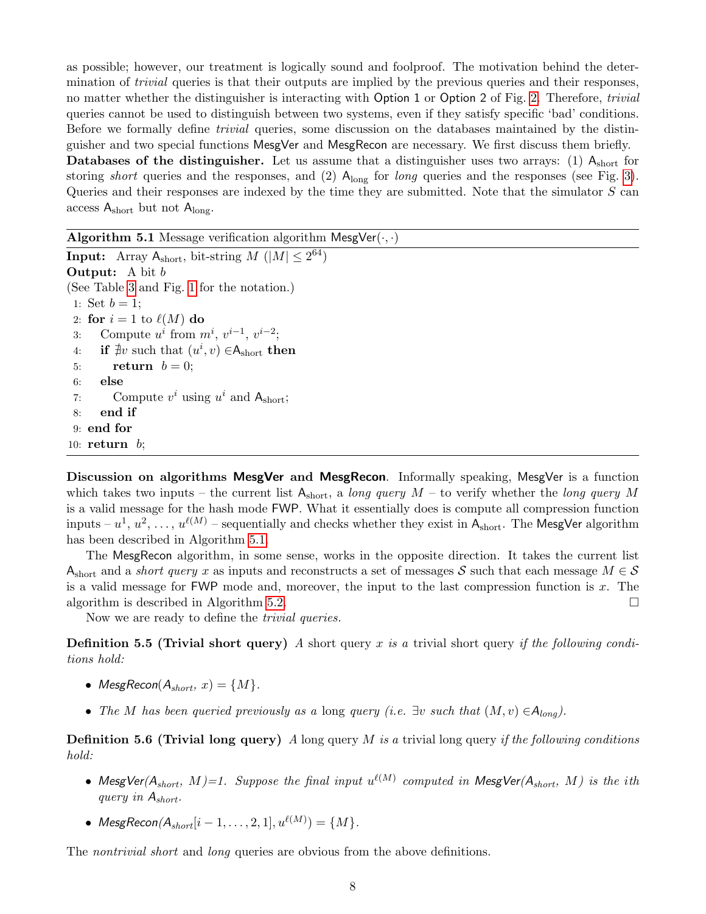as possible; however, our treatment is logically sound and foolproof. The motivation behind the determination of *trivial* queries is that their outputs are implied by the previous queries and their responses, no matter whether the distinguisher is interacting with Option 1 or Option 2 of Fig. [2.](#page-5-1) Therefore, *trivial* queries cannot be used to distinguish between two systems, even if they satisfy specific 'bad' conditions. Before we formally define trivial queries, some discussion on the databases maintained by the distinguisher and two special functions MesgVer and MesgRecon are necessary. We first discuss them briefly.

**Databases of the distinguisher.** Let us assume that a distinguisher uses two arrays: (1)  $A_{short}$  for storing *short* queries and the responses, and  $(2)$  A<sub>long</sub> for *long* queries and the responses (see Fig. [3\)](#page-5-3). Queries and their responses are indexed by the time they are submitted. Note that the simulator S can access  $A_{short}$  but not  $A_{long}$ .

Algorithm 5.1 Message verification algorithm  $\mathsf{MesgVer}(\cdot, \cdot)$ 

<span id="page-7-0"></span>**Input:** Array  $A_{\text{short}}$ , bit-string  $M$  ( $|M| \leq 2^{64}$ ) **Output:** A bit b (See Table [3](#page-6-0) and Fig. [1](#page-2-0) for the notation.) 1: Set  $b = 1$ ; 2: for  $i = 1$  to  $\ell(M)$  do 3: Compute  $u^i$  from  $m^i$ ,  $v^{i-1}$ ,  $v^{i-2}$ ; 4: if  $\exists v$  such that  $(u^i, v) \in A_{short}$  then 5: return  $b = 0$ ; 6: else 7: Compute  $v^i$  using  $u^i$  and  $A_{short}$ ; 8: end if 9: end for 10:  $return b;$ 

Discussion on algorithms MesgVer and MesgRecon. Informally speaking, MesgVer is a function which takes two inputs – the current list  $A_{short}$ , a long query  $M$  – to verify whether the long query M is a valid message for the hash mode FWP. What it essentially does is compute all compression function inputs –  $u^1, u^2, \ldots, u^{\ell(M)}$  – sequentially and checks whether they exist in  $\mathsf{A}_{\text{short}}.$  The MesgVer algorithm has been described in Algorithm [5.1.](#page-7-0)

The MesgRecon algorithm, in some sense, works in the opposite direction. It takes the current list Ashort and a *short query* x as inputs and reconstructs a set of messages S such that each message  $M \in S$ is a valid message for FWP mode and, moreover, the input to the last compression function is  $x$ . The algorithm is described in Algorithm [5.2.](#page-8-0)

<span id="page-7-1"></span>Now we are ready to define the *trivial queries*.

**Definition 5.5 (Trivial short query)** A short query x is a trivial short query if the following conditions hold:

- MesgRecon( $A_{short}$ ,  $x$ ) = {M}.
- The M has been queried previously as a long query (i.e.  $\exists v$  such that  $(M, v) \in A_{long}$ ).

<span id="page-7-2"></span>**Definition 5.6 (Trivial long query)** A long query M is a trivial long query if the following conditions hold:

- MesgVer $(A_{short}, M)=1$ . Suppose the final input  $u^{\ell(M)}$  computed in MesgVer $(A_{short}, M)$  is the ith query in Ashort.
- $MesgRecon(A_{short}[i 1, \ldots, 2, 1], u^{\ell(M)}) = \{M\}.$

The *nontrivial short* and *long* queries are obvious from the above definitions.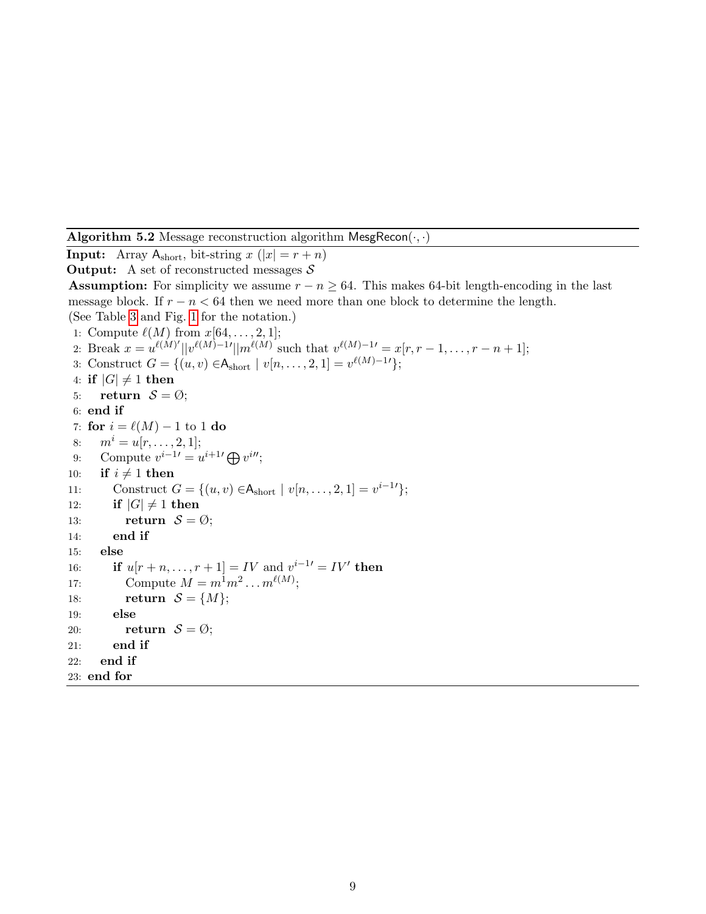Algorithm 5.2 Message reconstruction algorithm MesgRecon $(\cdot, \cdot)$ 

<span id="page-8-0"></span>**Input:** Array  $A_{short}$ , bit-string  $x(|x| = r + n)$ **Output:** A set of reconstructed messages  $S$ **Assumption:** For simplicity we assume  $r - n \geq 64$ . This makes 64-bit length-encoding in the last message block. If  $r - n < 64$  then we need more than one block to determine the length. (See Table [3](#page-6-0) and Fig. [1](#page-2-0) for the notation.) 1: Compute  $\ell(M)$  from  $x[64, \ldots, 2, 1]$ ; 2: Break  $x = u^{\ell(M)'} ||v^{\ell(M)-1'} ||m^{\ell(M)}$  such that  $v^{\ell(M)-1'} = x[r, r-1, \ldots, r-n+1];$ 3: Construct  $G = \{(u, v) \in A_{short} \mid v[n, \ldots, 2, 1] = v^{\ell(M)-1} \};$ 4: if  $|G| \neq 1$  then 5: return  $S = \emptyset$ ; 6: end if 7: for  $i = \ell(M) - 1$  to 1 do 8:  $m^i = u[r, \ldots, 2, 1];$ 9: Compute  $v^{i-1} = u^{i+1} \bigoplus v^{i}$ ; 10: if  $i \neq 1$  then 11: Construct  $G = \{(u, v) \in A_{short} \mid v[n, \dots, 2, 1] = v^{i-1} \};$ 12: if  $|G| \neq 1$  then 13: return  $S = \emptyset$ ; 14: end if 15: else 16: **if**  $u[r+n,...,r+1] = IV$  and  $v^{i-1} = IV'$  then 17: Compute  $M = m^1 m^2 \dots m^{\ell(M)}$ ; 18: return  $S = \{M\};$ 19: else 20: return  $S = \emptyset$ ; 21: end if 22: end if 23: end for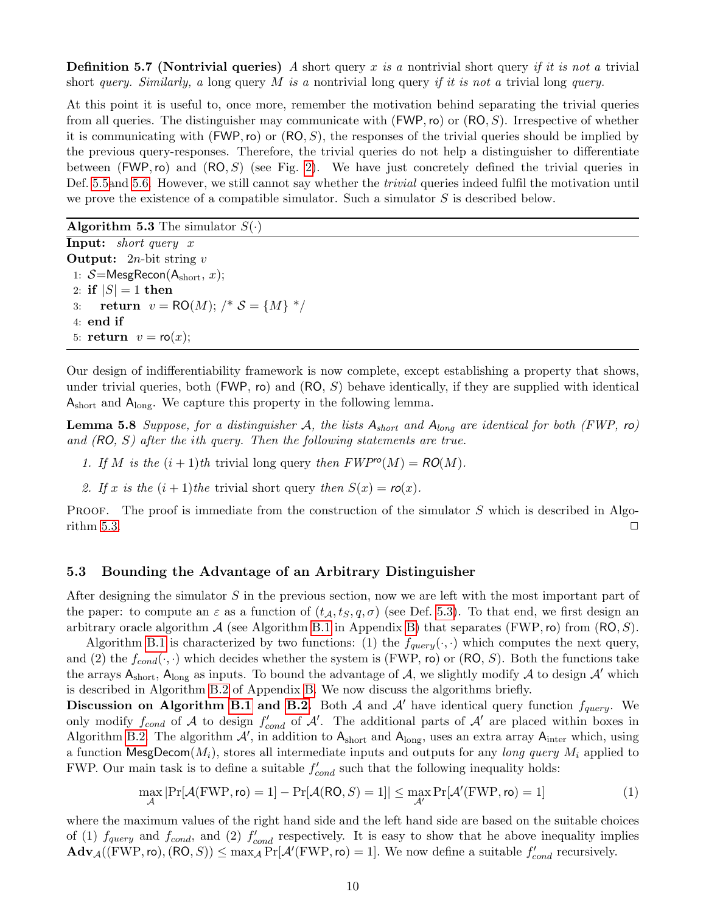**Definition 5.7 (Nontrivial queries)** A short query x is a nontrivial short query if it is not a trivial short query. Similarly, a long query M is a nontrivial long query if it is not a trivial long query.

At this point it is useful to, once more, remember the motivation behind separating the trivial queries from all queries. The distinguisher may communicate with  $(FWP, ro)$  or  $(RO, S)$ . Irrespective of whether it is communicating with (FWP, ro) or  $(RO, S)$ , the responses of the trivial queries should be implied by the previous query-responses. Therefore, the trivial queries do not help a distinguisher to differentiate between (FWP, ro) and  $(RO, S)$  (see Fig. [2\)](#page-5-1). We have just concretely defined the trivial queries in Def. [5.5a](#page-7-1)nd [5.6.](#page-7-2) However, we still cannot say whether the trivial queries indeed fulfil the motivation until we prove the existence of a compatible simulator. Such a simulator  $S$  is described below.

**Algorithm 5.3** The simulator  $S(\cdot)$ 

<span id="page-9-1"></span>Input: short query x **Output:**  $2n$ -bit string v 1:  $S=$ MesgRecon( $A_{short}, x$ ); 2: if  $|S| = 1$  then 3: return  $v = \text{RO}(M)$ ;  $\frac{*}{s} = \{M\}$  \*/ 4: end if 5: return  $v = \text{ro}(x)$ ;

Our design of indifferentiability framework is now complete, except establishing a property that shows, under trivial queries, both (FWP, ro) and (RO, S) behave identically, if they are supplied with identical  $A_{short}$  and  $A_{long}$ . We capture this property in the following lemma.

**Lemma 5.8** Suppose, for a distinguisher A, the lists  $A_{short}$  and  $A_{long}$  are identical for both (FWP, ro) and (RO, S) after the ith query. Then the following statements are true.

- 1. If M is the  $(i + 1)$ th trivial long query then  $FWP^{\prime\circ}(M) = RO(M)$ .
- 2. If x is the  $(i + 1)$ the trivial short query then  $S(x) = r o(x)$ .

PROOF. The proof is immediate from the construction of the simulator S which is described in Algo-rithm [5.3.](#page-9-1)  $\Box$ 

#### <span id="page-9-0"></span>5.3 Bounding the Advantage of an Arbitrary Distinguisher

After designing the simulator S in the previous section, now we are left with the most important part of the paper: to compute an  $\varepsilon$  as a function of  $(t_A, t_S, q, \sigma)$  (see Def. [5.3\)](#page-5-0). To that end, we first design an arbitrary oracle algorithm  $A$  (see Algorithm [B.1](#page-15-0) in Appendix [B\)](#page-14-6) that separates (FWP, ro) from  $(RO, S)$ .

Algorithm [B.1](#page-15-0) is characterized by two functions: (1) the  $f_{query}(\cdot, \cdot)$  which computes the next query, and (2) the  $f_{cond}(\cdot, \cdot)$  which decides whether the system is (FWP, ro) or (RO, S). Both the functions take the arrays  $A_{short}$ ,  $A_{long}$  as inputs. To bound the advantage of A, we slightly modify A to design A' which is described in Algorithm [B.2](#page-16-0) of Appendix [B.](#page-14-6) We now discuss the algorithms briefly.

Discussion on Algorithm [B.1](#page-15-0) and [B.2.](#page-16-0) Both A and A' have identical query function  $f_{query}$ . We only modify  $f_{cond}$  of A to design  $f'_{cond}$  of A'. The additional parts of A' are placed within boxes in Algorithm [B.2.](#page-16-0) The algorithm  $A'$ , in addition to  $A_{short}$  and  $A_{long}$ , uses an extra array  $A_{inter}$  which, using a function MesgDecom $(M_i)$ , stores all intermediate inputs and outputs for any long query  $M_i$  applied to FWP. Our main task is to define a suitable  $f'_{cond}$  such that the following inequality holds:

<span id="page-9-2"></span>
$$
\max_{\mathcal{A}} |\Pr[\mathcal{A}(\text{FWP}, \text{ro}) = 1] - \Pr[\mathcal{A}(\text{RO}, S) = 1]| \le \max_{\mathcal{A}'} \Pr[\mathcal{A}'(\text{FWP}, \text{ro}) = 1]
$$
(1)

where the maximum values of the right hand side and the left hand side are based on the suitable choices of (1)  $f_{query}$  and  $f_{cond}$ , and (2)  $f'_{cond}$  respectively. It is easy to show that he above inequality implies  $\mathbf{Adv}_{\mathcal{A}}((FWP, ro), (RO, S)) \le \max_{\mathcal{A}} \Pr[\mathcal{A}'(FWP, ro) = 1].$  We now define a suitable  $f'_{cond}$  recursively.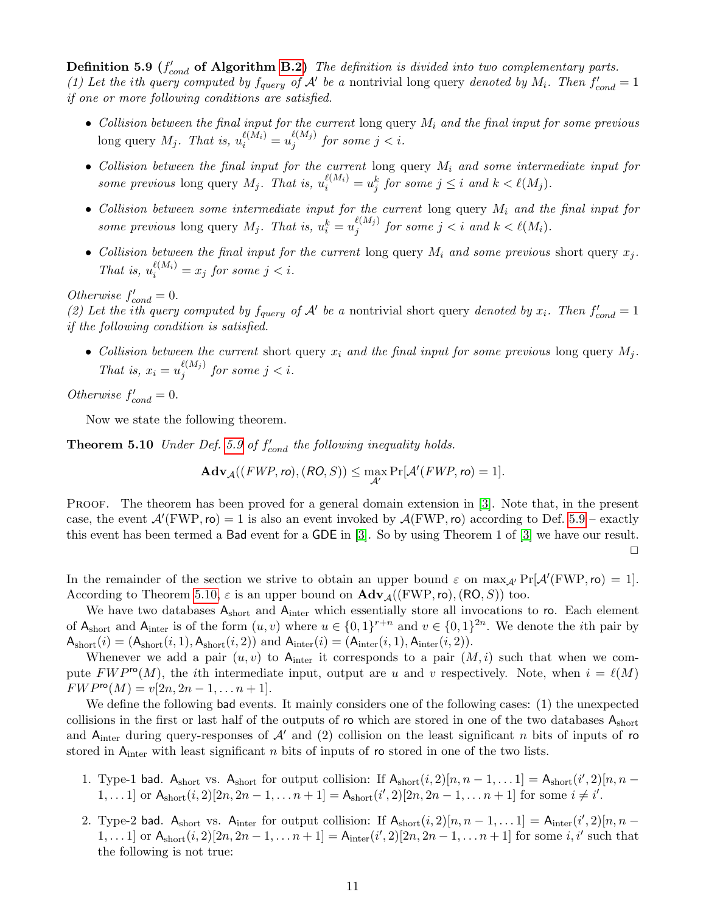<span id="page-10-1"></span>**Definition 5.9** ( $f'_{cond}$  of Algorithm [B.2\)](#page-16-0) The definition is divided into two complementary parts. (1) Let the ith query computed by  $f_{query}$  of  $A'$  be a nontrivial long query denoted by  $M_i$ . Then  $f'_{cond} = 1$ if one or more following conditions are satisfied.

- Collision between the final input for the current long query  $M_i$  and the final input for some previous long query  $M_j$ . That is,  $u_i^{\ell(M_i)} = u_j^{\ell(M_j)}$  $j^{(m_j)}$  for some  $j < i$ .
- Collision between the final input for the current long query  $M_i$  and some intermediate input for some previous long query  $M_j$ . That is,  $u_i^{\ell(M_i)} = u_j^k$  for some  $j \leq i$  and  $k < \ell(M_j)$ .
- Collision between some intermediate input for the current long query  $M_i$  and the final input for some previous long query  $M_j$ . That is,  $u_i^k = u_j^{\ell(M_j)}$  $\sum_{j}^{\ell(M_j)}$  for some  $j < i$  and  $k < \ell(M_i)$ .
- Collision between the final input for the current long query  $M_i$  and some previous short query  $x_i$ . That is,  $u_i^{\ell(M_i)} = x_j$  for some  $j < i$ .

Otherwise  $f'_{cond} = 0$ .

(2) Let the ith query computed by  $f_{query}$  of  $A'$  be a nontrivial short query denoted by  $x_i$ . Then  $f'_{cond} = 1$ if the following condition is satisfied.

• Collision between the current short query  $x_i$  and the final input for some previous long query  $M_i$ . That is,  $x_i = u_i^{\ell(M_j)}$  $j^{(m_j)}$  for some  $j < i$ .

Otherwise  $f'_{cond} = 0$ .

Now we state the following theorem.

**Theorem 5.10** Under Def. [5.9](#page-9-2) of  $f'_{cond}$  the following inequality holds.

<span id="page-10-0"></span>
$$
\mathbf{Adv}_{\mathcal{A}}((FWP, ro), (RO, S)) \le \max_{\mathcal{A}'} \Pr[\mathcal{A}'(FWP, ro) = 1].
$$

PROOF. The theorem has been proved for a general domain extension in [\[3\]](#page-13-13). Note that, in the present case, the event  $\mathcal{A}'(\text{FWP},\text{ro}) = 1$  is also an event invoked by  $\mathcal{A}(\text{FWP},\text{ro})$  according to Def. [5.9](#page-9-2) – exactly this event has been termed a Bad event for a GDE in [\[3\]](#page-13-13). So by using Theorem 1 of [\[3\]](#page-13-13) we have our result.  $\Box$ 

In the remainder of the section we strive to obtain an upper bound  $\varepsilon$  on  $\max_{A'} \Pr[A'(\text{FWP},\text{ro}) = 1].$ According to Theorem [5.10,](#page-10-0)  $\varepsilon$  is an upper bound on  $\mathbf{Adv}_{\mathcal{A}}((\mathrm{FWP}, \mathrm{ro}),(\mathrm{RO}, S))$  too.

We have two databases  $A_{short}$  and  $A_{inter}$  which essentially store all invocations to ro. Each element of  $A_{short}$  and  $A_{inter}$  is of the form  $(u, v)$  where  $u \in \{0, 1\}^{r+n}$  and  $v \in \{0, 1\}^{2n}$ . We denote the *i*th pair by  $A_{short}(i) = (A_{short}(i, 1), A_{short}(i, 2))$  and  $A_{inter}(i) = (A_{inter}(i, 1), A_{inter}(i, 2)).$ 

Whenever we add a pair  $(u, v)$  to  $A_{\text{inter}}$  it corresponds to a pair  $(M, i)$  such that when we compute  $FWP^{\mathsf{ro}}(M)$ , the *i*th intermediate input, output are u and v respectively. Note, when  $i = \ell(M)$  $FWP^{\text{ro}}(M) = v[2n, 2n-1, \ldots n+1].$ 

We define the following bad events. It mainly considers one of the following cases: (1) the unexpected collisions in the first or last half of the outputs of ro which are stored in one of the two databases Ashort and A<sub>inter</sub> during query-responses of  $\mathcal{A}'$  and (2) collision on the least significant n bits of inputs of ro stored in  $A_{\text{inter}}$  with least significant n bits of inputs of ro stored in one of the two lists.

- 1. Type-1 bad.  $A_{short}$  vs.  $A_{short}$  for output collision: If  $A_{short}(i, 2)[n, n-1, \ldots 1] = A_{short}(i', 2)[n, n-1]$ 1,...1] or  $A_{short}(i, 2)[2n, 2n-1, \ldots n+1] = A_{short}(i', 2)[2n, 2n-1, \ldots n+1]$  for some  $i \neq i'$ .
- 2. Type-2 bad.  $A_{short}$  vs.  $A_{inter}$  for output collision: If  $A_{short}(i, 2)[n, n-1, \ldots 1] = A_{inter}(i', 2)[n, n-1]$ 1,...1] or  $A_{short}(i, 2)[2n, 2n-1, \ldots n+1] = A_{inter}(i', 2)[2n, 2n-1, \ldots n+1]$  for some  $i, i'$  such that the following is not true: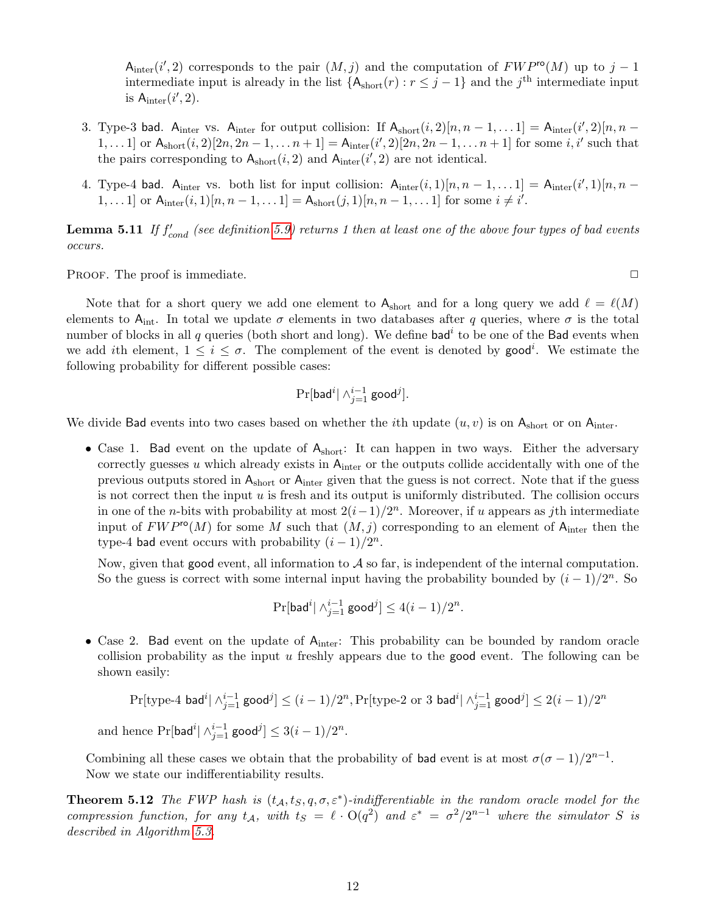A<sub>inter</sub> (i', 2) corresponds to the pair  $(M, j)$  and the computation of  $FWP^{ro}(M)$  up to j – 1 intermediate input is already in the list  ${A<sub>short</sub>(r) : r \leq j-1}$  and the j<sup>th</sup> intermediate input is  $A_{\text{inter}}(i', 2)$ .

- 3. Type-3 bad. A<sub>inter</sub> vs. A<sub>inter</sub> for output collision: If  $A_{short}(i, 2)[n, n-1, \ldots 1] = A_{inter}(i', 2)[n, n-1]$ 1,...1 or  $A_{short}(i, 2)[2n, 2n-1, \ldots n+1] = A_{inter}(i', 2)[2n, 2n-1, \ldots n+1]$  for some  $i, i'$  such that the pairs corresponding to  $A_{short}(i, 2)$  and  $A_{inter}(i', 2)$  are not identical.
- 4. Type-4 bad. A<sub>inter</sub> vs. both list for input collision:  $A_{inter}(i,1)[n, n-1,... 1] = A_{inter}(i',1)[n, n-1]$ 1,...1] or  $A_{\text{inter}}(i,1)[n, n-1,... 1] = A_{\text{short}}(j,1)[n, n-1,... 1]$  for some  $i \neq i'$ .

**Lemma 5.11** If  $f'_{cond}$  (see definition [5.9\)](#page-9-2) returns 1 then at least one of the above four types of bad events occurs.

PROOF. The proof is immediate.  $\Box$ 

Note that for a short query we add one element to  $A_{short}$  and for a long query we add  $\ell = \ell(M)$ elements to A<sub>int</sub>. In total we update  $\sigma$  elements in two databases after q queries, where  $\sigma$  is the total number of blocks in all q queries (both short and long). We define bad<sup>i</sup> to be one of the Bad events when we add ith element,  $1 \leq i \leq \sigma$ . The complement of the event is denoted by good<sup>i</sup>. We estimate the following probability for different possible cases:

$$
\Pr[\mathsf{bad}^i | \wedge_{j=1}^{i-1} \mathsf{good}^j].
$$

We divide Bad events into two cases based on whether the *i*th update  $(u, v)$  is on  $A_{\text{short}}$  or on  $A_{\text{inter}}$ .

• Case 1. Bad event on the update of  $A_{short}$ : It can happen in two ways. Either the adversary correctly guesses u which already exists in  $A_{inter}$  or the outputs collide accidentally with one of the previous outputs stored in Ashort or Ainter given that the guess is not correct. Note that if the guess is not correct then the input  $u$  is fresh and its output is uniformly distributed. The collision occurs in one of the *n*-bits with probability at most  $2(i-1)/2^n$ . Moreover, if u appears as jth intermediate input of  $FWP^{\text{ro}}(M)$  for some M such that  $(M, j)$  corresponding to an element of A<sub>inter</sub> then the type-4 bad event occurs with probability  $(i - 1)/2^n$ .

Now, given that good event, all information to  $A$  so far, is independent of the internal computation. So the guess is correct with some internal input having the probability bounded by  $(i-1)/2^n$ . So

$$
\Pr[\mathsf{bad}^i | \wedge_{j=1}^{i-1} \mathsf{good}^j] \le 4(i-1)/2^n.
$$

• Case 2. Bad event on the update of  $A<sub>inter</sub>$ : This probability can be bounded by random oracle collision probability as the input u freshly appears due to the good event. The following can be shown easily:

$$
\Pr[\text{type-4 bad}^i \mid \wedge_{j=1}^{i-1} \text{good}^j] \le (i-1)/2^n, \Pr[\text{type-2 or 3 bad}^i \mid \wedge_{j=1}^{i-1} \text{good}^j] \le 2(i-1)/2^n
$$
\nand hence

\n
$$
\Pr[\text{bad}^i \mid \wedge_{j=1}^{i-1} \text{good}^j] \le 3(i-1)/2^n.
$$

Combining all these cases we obtain that the probability of bad event is at most  $\sigma(\sigma-1)/2^{n-1}$ . Now we state our indifferentiability results.

**Theorem 5.12** The FWP hash is  $(t_A, t_S, q, \sigma, \varepsilon^*)$ -indifferentiable in the random oracle model for the compression function, for any  $t_A$ , with  $t_S = \ell \cdot O(q^2)$  and  $\varepsilon^* = \frac{\sigma^2}{2^{n-1}}$  where the simulator S is described in Algorithm [5.3.](#page-9-1)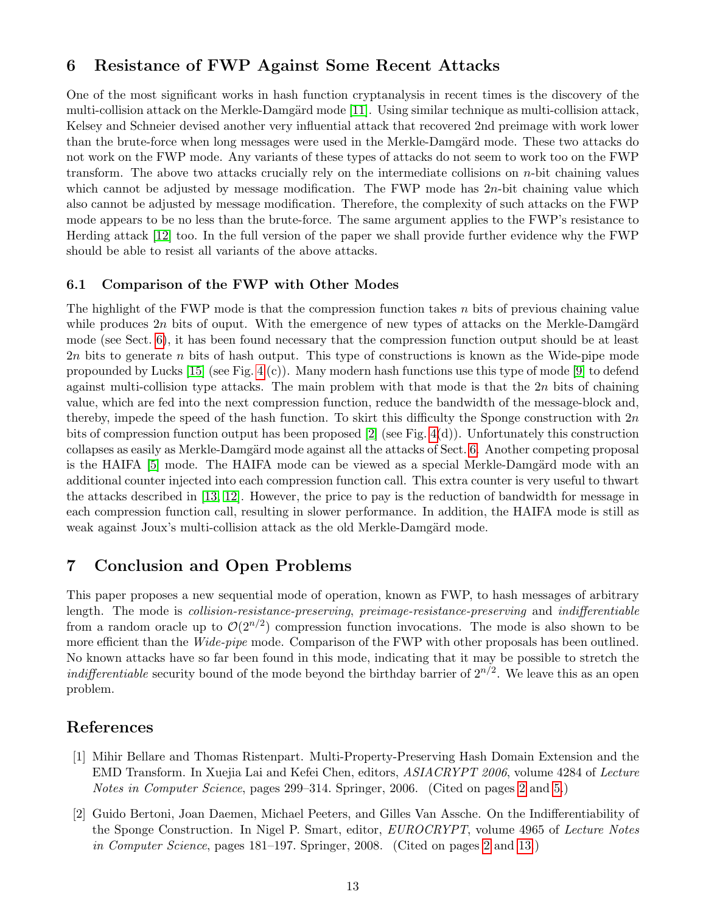## <span id="page-12-3"></span><span id="page-12-2"></span>6 Resistance of FWP Against Some Recent Attacks

One of the most significant works in hash function cryptanalysis in recent times is the discovery of the multi-collision attack on the Merkle-Damgärd mode  $[11]$ . Using similar technique as multi-collision attack, Kelsey and Schneier devised another very influential attack that recovered 2nd preimage with work lower than the brute-force when long messages were used in the Merkle-Damgärd mode. These two attacks do not work on the FWP mode. Any variants of these types of attacks do not seem to work too on the FWP transform. The above two attacks crucially rely on the intermediate collisions on  $n$ -bit chaining values which cannot be adjusted by message modification. The FWP mode has  $2n$ -bit chaining value which also cannot be adjusted by message modification. Therefore, the complexity of such attacks on the FWP mode appears to be no less than the brute-force. The same argument applies to the FWP's resistance to Herding attack [\[12\]](#page-13-8) too. In the full version of the paper we shall provide further evidence why the FWP should be able to resist all variants of the above attacks.

### 6.1 Comparison of the FWP with Other Modes

The highlight of the FWP mode is that the compression function takes  $n$  bits of previous chaining value while produces  $2n$  bits of ouput. With the emergence of new types of attacks on the Merkle-Damgärd mode (see Sect. [6\)](#page-12-2), it has been found necessary that the compression function output should be at least 2n bits to generate n bits of hash output. This type of constructions is known as the Wide-pipe mode propounded by Lucks [\[15\]](#page-13-6) (see Fig. [4](#page-14-7) (c)). Many modern hash functions use this type of mode [\[9\]](#page-13-14) to defend against multi-collision type attacks. The main problem with that mode is that the  $2n$  bits of chaining value, which are fed into the next compression function, reduce the bandwidth of the message-block and, thereby, impede the speed of the hash function. To skirt this difficulty the Sponge construction with  $2n$ bits of compression function output has been proposed [\[2\]](#page-12-0) (see Fig. [4\(](#page-14-7)d)). Unfortunately this construction collapses as easily as Merkle-Damgärd mode against all the attacks of Sect. [6.](#page-12-2) Another competing proposal is the HAIFA [\[5\]](#page-13-9) mode. The HAIFA mode can be viewed as a special Merkle-Damgärd mode with an additional counter injected into each compression function call. This extra counter is very useful to thwart the attacks described in [\[13,](#page-13-12) [12\]](#page-13-8). However, the price to pay is the reduction of bandwidth for message in each compression function call, resulting in slower performance. In addition, the HAIFA mode is still as weak against Joux's multi-collision attack as the old Merkle-Damgärd mode.

## 7 Conclusion and Open Problems

This paper proposes a new sequential mode of operation, known as FWP, to hash messages of arbitrary length. The mode is collision-resistance-preserving, preimage-resistance-preserving and indifferentiable from a random oracle up to  $\mathcal{O}(2^{n/2})$  compression function invocations. The mode is also shown to be more efficient than the Wide-pipe mode. Comparison of the FWP with other proposals has been outlined. No known attacks have so far been found in this mode, indicating that it may be possible to stretch the *indifferentiable* security bound of the mode beyond the birthday barrier of  $2^{n/2}$ . We leave this as an open problem.

### References

- <span id="page-12-1"></span>[1] Mihir Bellare and Thomas Ristenpart. Multi-Property-Preserving Hash Domain Extension and the EMD Transform. In Xuejia Lai and Kefei Chen, editors, ASIACRYPT 2006, volume 4284 of Lecture Notes in Computer Science, pages 299–314. Springer, 2006. (Cited on pages [2](#page-1-1) and [5.](#page-4-3))
- <span id="page-12-0"></span>[2] Guido Bertoni, Joan Daemen, Michael Peeters, and Gilles Van Assche. On the Indifferentiability of the Sponge Construction. In Nigel P. Smart, editor, EUROCRYPT, volume 4965 of Lecture Notes in Computer Science, pages 181–197. Springer, 2008. (Cited on pages [2](#page-1-1) and [13.](#page-12-3))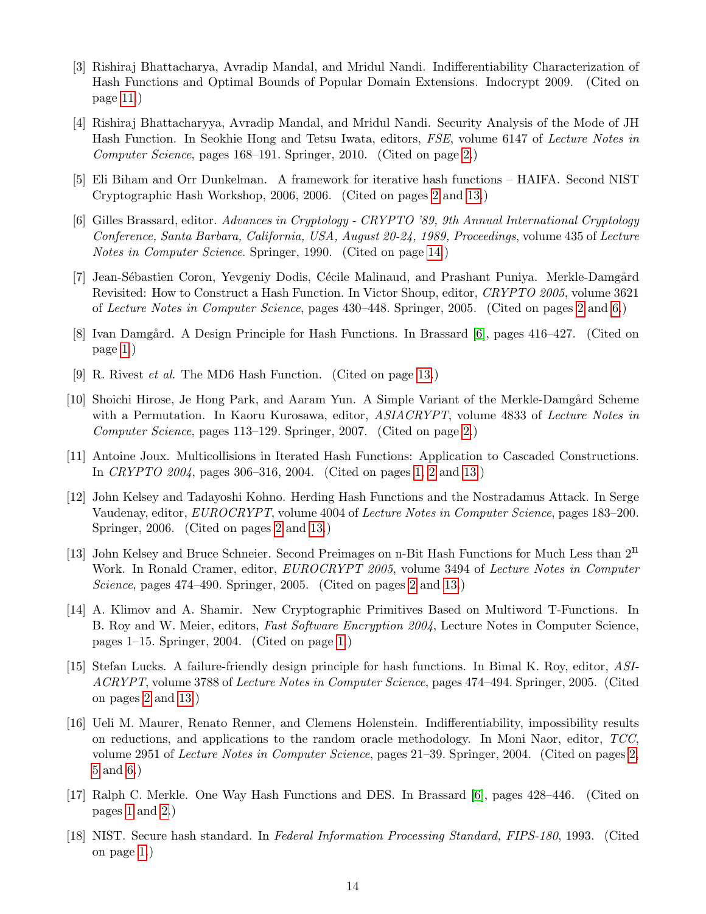- <span id="page-13-15"></span><span id="page-13-13"></span>[3] Rishiraj Bhattacharya, Avradip Mandal, and Mridul Nandi. Indifferentiability Characterization of Hash Functions and Optimal Bounds of Popular Domain Extensions. Indocrypt 2009. (Cited on page [11.](#page-10-1))
- <span id="page-13-7"></span>[4] Rishiraj Bhattacharyya, Avradip Mandal, and Mridul Nandi. Security Analysis of the Mode of JH Hash Function. In Seokhie Hong and Tetsu Iwata, editors, FSE, volume 6147 of Lecture Notes in Computer Science, pages 168–191. Springer, 2010. (Cited on page [2.](#page-1-1))
- <span id="page-13-9"></span>[5] Eli Biham and Orr Dunkelman. A framework for iterative hash functions – HAIFA. Second NIST Cryptographic Hash Workshop, 2006, 2006. (Cited on pages [2](#page-1-1) and [13.](#page-12-3))
- <span id="page-13-16"></span>[6] Gilles Brassard, editor. Advances in Cryptology - CRYPTO '89, 9th Annual International Cryptology Conference, Santa Barbara, California, USA, August 20-24, 1989, Proceedings, volume 435 of Lecture Notes in Computer Science. Springer, 1990. (Cited on page [14.](#page-13-15))
- <span id="page-13-11"></span>[7] Jean-Sébastien Coron, Yevgeniy Dodis, Cécile Malinaud, and Prashant Puniya. Merkle-Damgård Revisited: How to Construct a Hash Function. In Victor Shoup, editor, CRYPTO 2005, volume 3621 of Lecture Notes in Computer Science, pages 430–448. Springer, 2005. (Cited on pages [2](#page-1-1) and [6.](#page-5-4))
- <span id="page-13-2"></span>[8] Ivan Damgård. A Design Principle for Hash Functions. In Brassard [\[6\]](#page-13-16), pages 416–427. (Cited on page [1.](#page-0-1))
- <span id="page-13-14"></span>[9] R. Rivest et al. The MD6 Hash Function. (Cited on page [13.](#page-12-3))
- <span id="page-13-5"></span>[10] Shoichi Hirose, Je Hong Park, and Aaram Yun. A Simple Variant of the Merkle-Damgård Scheme with a Permutation. In Kaoru Kurosawa, editor, *ASIACRYPT*, volume 4833 of Lecture Notes in Computer Science, pages 113–129. Springer, 2007. (Cited on page [2.](#page-1-1))
- <span id="page-13-3"></span>[11] Antoine Joux. Multicollisions in Iterated Hash Functions: Application to Cascaded Constructions. In CRYPTO 2004, pages 306–316, 2004. (Cited on pages [1,](#page-0-1) [2](#page-1-1) and [13.](#page-12-3))
- <span id="page-13-8"></span>[12] John Kelsey and Tadayoshi Kohno. Herding Hash Functions and the Nostradamus Attack. In Serge Vaudenay, editor, *EUROCRYPT*, volume 4004 of *Lecture Notes in Computer Science*, pages 183–200. Springer, 2006. (Cited on pages [2](#page-1-1) and [13.](#page-12-3))
- <span id="page-13-12"></span>[13] John Kelsey and Bruce Schneier. Second Preimages on n-Bit Hash Functions for Much Less than  $2<sup>n</sup>$ Work. In Ronald Cramer, editor, *EUROCRYPT 2005*, volume 3494 of *Lecture Notes in Computer* Science, pages 474–490. Springer, 2005. (Cited on pages [2](#page-1-1) and [13.](#page-12-3))
- <span id="page-13-4"></span>[14] A. Klimov and A. Shamir. New Cryptographic Primitives Based on Multiword T-Functions. In B. Roy and W. Meier, editors, Fast Software Encryption 2004, Lecture Notes in Computer Science, pages 1–15. Springer, 2004. (Cited on page [1.](#page-0-1))
- <span id="page-13-6"></span>[15] Stefan Lucks. A failure-friendly design principle for hash functions. In Bimal K. Roy, editor, ASI-ACRYPT, volume 3788 of Lecture Notes in Computer Science, pages 474–494. Springer, 2005. (Cited on pages [2](#page-1-1) and [13.](#page-12-3))
- <span id="page-13-10"></span>[16] Ueli M. Maurer, Renato Renner, and Clemens Holenstein. Indifferentiability, impossibility results on reductions, and applications to the random oracle methodology. In Moni Naor, editor, TCC, volume 2951 of Lecture Notes in Computer Science, pages 21–39. Springer, 2004. (Cited on pages [2,](#page-1-1) [5](#page-4-3) and [6.](#page-5-4))
- <span id="page-13-1"></span>[17] Ralph C. Merkle. One Way Hash Functions and DES. In Brassard [\[6\]](#page-13-16), pages 428–446. (Cited on pages [1](#page-0-1) and [2.](#page-1-1))
- <span id="page-13-0"></span>[18] NIST. Secure hash standard. In Federal Information Processing Standard, FIPS-180, 1993. (Cited on page [1.](#page-0-1))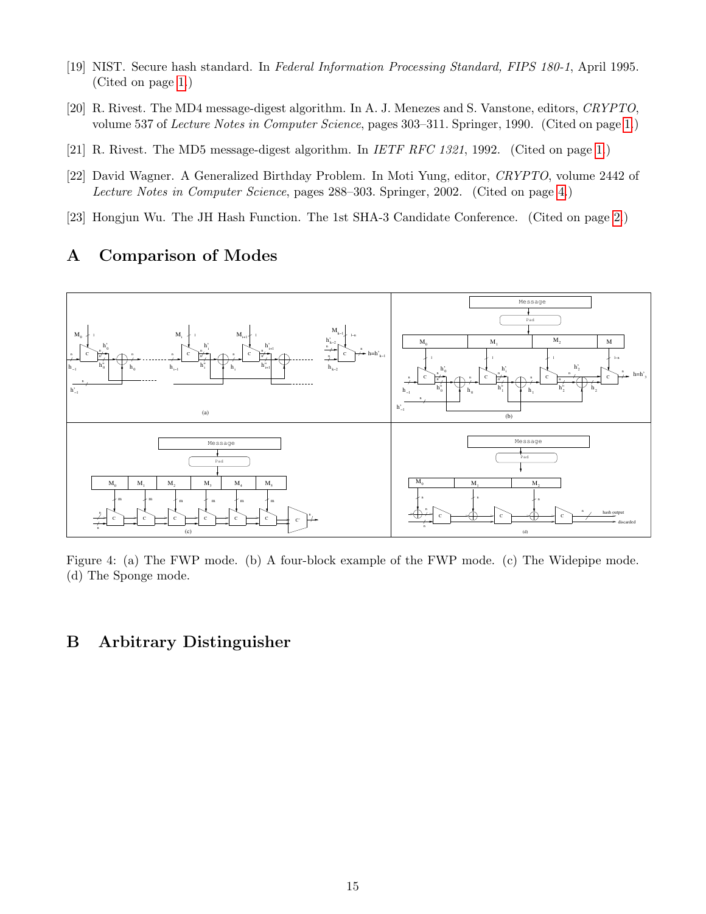- <span id="page-14-2"></span>[19] NIST. Secure hash standard. In Federal Information Processing Standard, FIPS 180-1, April 1995. (Cited on page [1.](#page-0-1))
- <span id="page-14-0"></span>[20] R. Rivest. The MD4 message-digest algorithm. In A. J. Menezes and S. Vanstone, editors, CRYPTO, volume 537 of Lecture Notes in Computer Science, pages 303–311. Springer, 1990. (Cited on page [1.](#page-0-1))
- <span id="page-14-1"></span>[21] R. Rivest. The MD5 message-digest algorithm. In *IETF RFC 1321*, 1992. (Cited on page [1.](#page-0-1))
- <span id="page-14-5"></span>[22] David Wagner. A Generalized Birthday Problem. In Moti Yung, editor, CRYPTO, volume 2442 of Lecture Notes in Computer Science, pages 288–303. Springer, 2002. (Cited on page [4.](#page-3-3))
- <span id="page-14-3"></span>[23] Hongjun Wu. The JH Hash Function. The 1st SHA-3 Candidate Conference. (Cited on page [2.](#page-1-1))

## <span id="page-14-4"></span>A Comparison of Modes



<span id="page-14-7"></span>Figure 4: (a) The FWP mode. (b) A four-block example of the FWP mode. (c) The Widepipe mode. (d) The Sponge mode.

## <span id="page-14-6"></span>B Arbitrary Distinguisher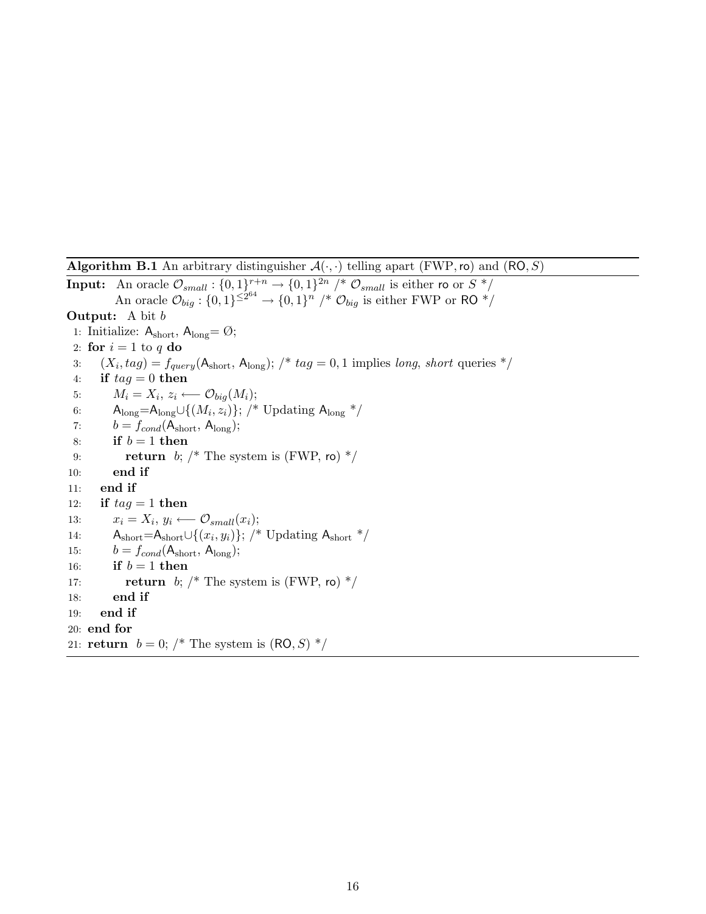Algorithm B.1 An arbitrary distinguisher  $\mathcal{A}(\cdot, \cdot)$  telling apart (FWP, ro) and (RO, S)

<span id="page-15-0"></span>**Input:** An oracle  $\mathcal{O}_{small}: \{0,1\}^{r+n} \rightarrow \{0,1\}^{2n}$  /\*  $\mathcal{O}_{small}$  is either ro or  $S^*$ / An oracle  $\mathcal{O}_{big}$  :  $\{0,1\}^{\leq 2^{64}} \to \{0,1\}^n$  /\*  $\mathcal{O}_{big}$  is either FWP or RO \*/ **Output:** A bit b 1: Initialize:  $\mathsf{A}_{short},\, \mathsf{A}_{long} \! = \! \varnothing;$ 2: for  $i = 1$  to q do 3:  $(X_i, tag) = f_{query}(A_{short}, A_{long});$   $\nmid * tag = 0, 1$  implies long, short queries  $*\rangle$ 4: if  $tag = 0$  then 5:  $M_i = X_i, z_i \longleftarrow \mathcal{O}_{big}(M_i);$ 6:  $A_{\text{long}} = A_{\text{long}} \cup \{(M_i, z_i)\};$  /\* Updating  $A_{\text{long}}$  \*/ 7:  $b = f_{cond}(A_{short}, A_{long});$ 8: if  $b = 1$  then 9: return b;  $/*$  The system is (FWP, ro)  $*/$ 10: end if 11: end if 12: if  $tag = 1$  then 13:  $x_i = X_i, y_i \longleftarrow \mathcal{O}_{small}(x_i);$ 14:  $A_{short}=A_{short}\cup\{(x_i,y_i)\};$  /\* Updating  $A_{short}$  \*/ 15:  $b = f_{cond}(A_{short}, A_{long});$ 16: if  $b = 1$  then 17: **return** b;  $/*$  The system is (FWP, ro)  $*/$ 18: end if 19: end if 20: end for 21: **return**  $b = 0$ ; /\* The system is  $(RO, S)$  \*/